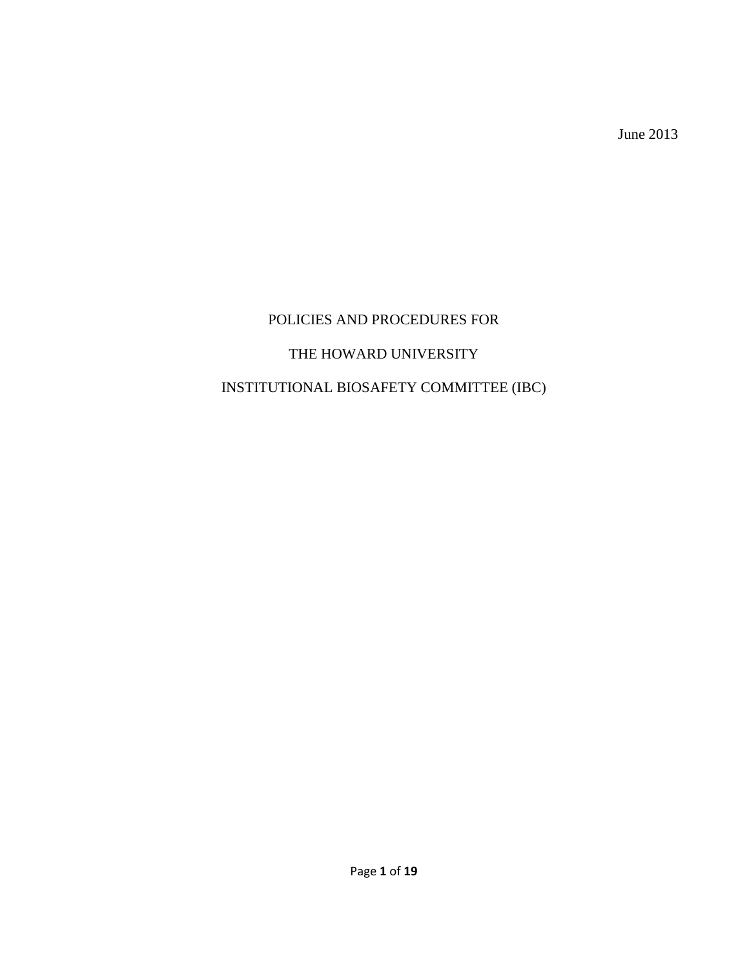June 2013

# POLICIES AND PROCEDURES FOR

### THE HOWARD UNIVERSITY

## INSTITUTIONAL BIOSAFETY COMMITTEE (IBC)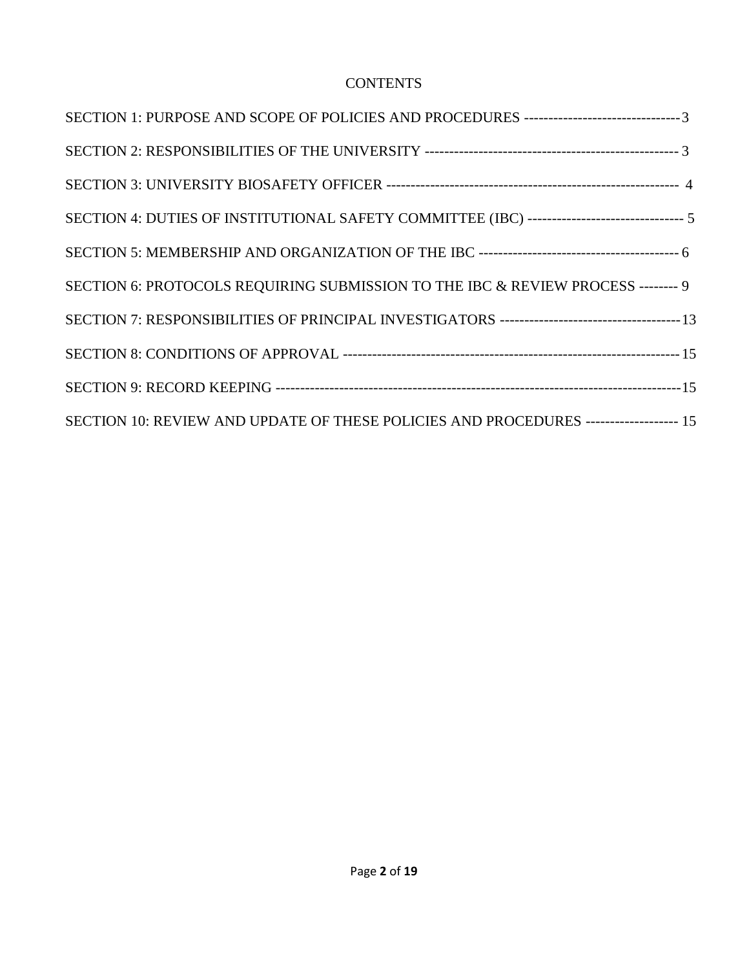### **CONTENTS**

| SECTION 1: PURPOSE AND SCOPE OF POLICIES AND PROCEDURES -----------------------------------3 |  |
|----------------------------------------------------------------------------------------------|--|
|                                                                                              |  |
|                                                                                              |  |
| SECTION 4: DUTIES OF INSTITUTIONAL SAFETY COMMITTEE (IBC) ------------------------------- 5  |  |
|                                                                                              |  |
| SECTION 6: PROTOCOLS REQUIRING SUBMISSION TO THE IBC & REVIEW PROCESS -------- 9             |  |
|                                                                                              |  |
|                                                                                              |  |
|                                                                                              |  |
| SECTION 10: REVIEW AND UPDATE OF THESE POLICIES AND PROCEDURES ------------------- 15        |  |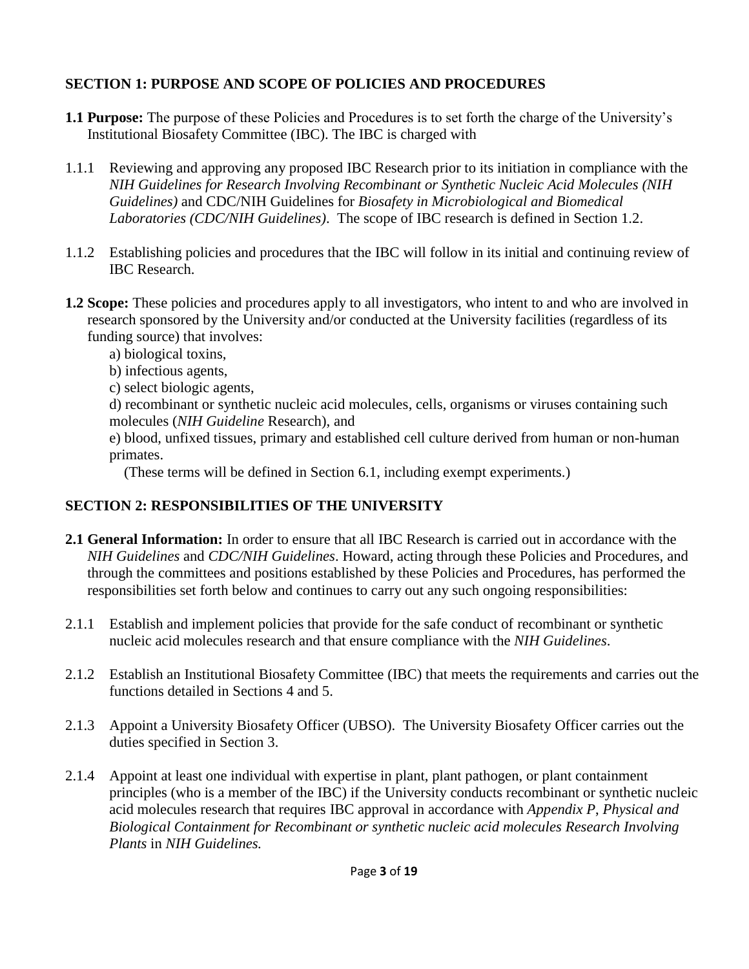### **SECTION 1: PURPOSE AND SCOPE OF POLICIES AND PROCEDURES**

- **1.1 Purpose:** The purpose of these Policies and Procedures is to set forth the charge of the University's Institutional Biosafety Committee (IBC). The IBC is charged with
- 1.1.1 Reviewing and approving any proposed IBC Research prior to its initiation in compliance with the *NIH Guidelines for Research Involving Recombinant or Synthetic Nucleic Acid Molecules (NIH Guidelines)* and CDC/NIH Guidelines for *Biosafety in Microbiological and Biomedical Laboratories (CDC/NIH Guidelines)*. The scope of IBC research is defined in Section 1.2.
- 1.1.2 Establishing policies and procedures that the IBC will follow in its initial and continuing review of IBC Research.
- **1.2 Scope:** These policies and procedures apply to all investigators, who intent to and who are involved in research sponsored by the University and/or conducted at the University facilities (regardless of its funding source) that involves:
	- a) biological toxins,
	- b) infectious agents,
	- c) select biologic agents,
	- d) recombinant or synthetic nucleic acid molecules, cells, organisms or viruses containing such molecules (*NIH Guideline* Research), and
	- e) blood, unfixed tissues, primary and established cell culture derived from human or non-human primates.

(These terms will be defined in Section 6.1, including exempt experiments.)

# **SECTION 2: RESPONSIBILITIES OF THE UNIVERSITY**

- **2.1 General Information:** In order to ensure that all IBC Research is carried out in accordance with the *NIH Guidelines* and *CDC/NIH Guidelines*. Howard, acting through these Policies and Procedures, and through the committees and positions established by these Policies and Procedures, has performed the responsibilities set forth below and continues to carry out any such ongoing responsibilities:
- 2.1.1 Establish and implement policies that provide for the safe conduct of recombinant or synthetic nucleic acid molecules research and that ensure compliance with the *NIH Guidelines*.
- 2.1.2 Establish an Institutional Biosafety Committee (IBC) that meets the requirements and carries out the functions detailed in Sections 4 and 5.
- 2.1.3 Appoint a University Biosafety Officer (UBSO). The University Biosafety Officer carries out the duties specified in Section 3.
- 2.1.4 Appoint at least one individual with expertise in plant, plant pathogen, or plant containment principles (who is a member of the IBC) if the University conducts recombinant or synthetic nucleic acid molecules research that requires IBC approval in accordance with *Appendix P*, *Physical and Biological Containment for Recombinant or synthetic nucleic acid molecules Research Involving Plants* in *NIH Guidelines.*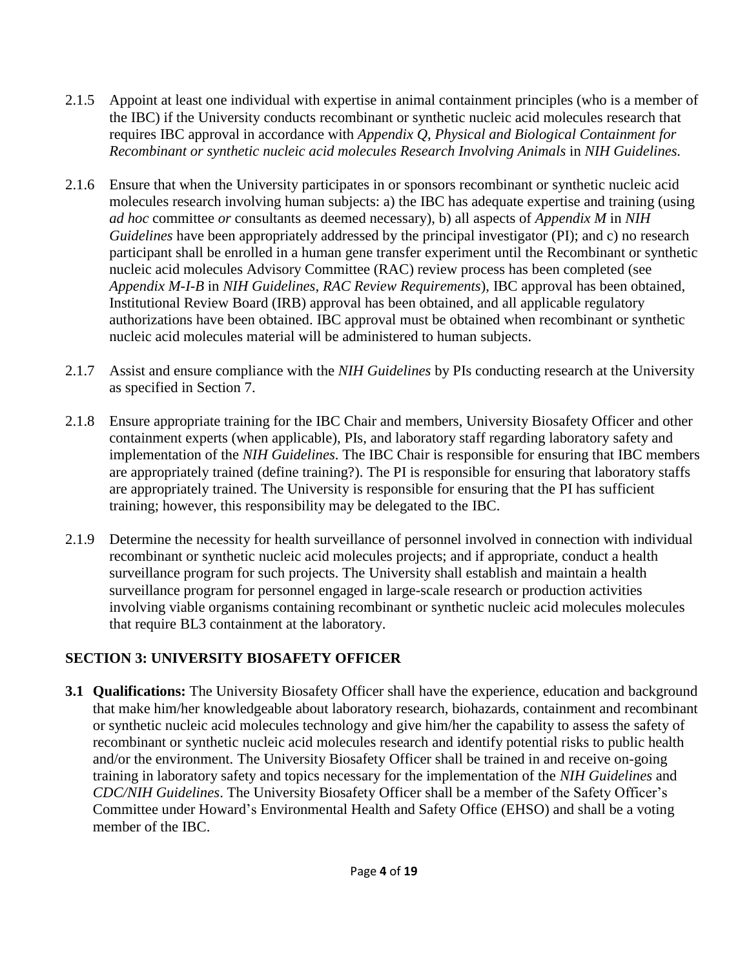- 2.1.5 Appoint at least one individual with expertise in animal containment principles (who is a member of the IBC) if the University conducts recombinant or synthetic nucleic acid molecules research that requires IBC approval in accordance with *Appendix Q*, *Physical and Biological Containment for Recombinant or synthetic nucleic acid molecules Research Involving Animals* in *NIH Guidelines.*
- 2.1.6 Ensure that when the University participates in or sponsors recombinant or synthetic nucleic acid molecules research involving human subjects: a) the IBC has adequate expertise and training (using *ad hoc* committee *or* consultants as deemed necessary), b) all aspects of *Appendix M* in *NIH Guidelines* have been appropriately addressed by the principal investigator (PI); and c) no research participant shall be enrolled in a human gene transfer experiment until the Recombinant or synthetic nucleic acid molecules Advisory Committee (RAC) review process has been completed (see *Appendix M-I-B* in *NIH Guidelines*, *RAC Review Requirements*), IBC approval has been obtained, Institutional Review Board (IRB) approval has been obtained, and all applicable regulatory authorizations have been obtained. IBC approval must be obtained when recombinant or synthetic nucleic acid molecules material will be administered to human subjects.
- 2.1.7 Assist and ensure compliance with the *NIH Guidelines* by PIs conducting research at the University as specified in Section 7.
- 2.1.8 Ensure appropriate training for the IBC Chair and members, University Biosafety Officer and other containment experts (when applicable), PIs, and laboratory staff regarding laboratory safety and implementation of the *NIH Guidelines*. The IBC Chair is responsible for ensuring that IBC members are appropriately trained (define training?). The PI is responsible for ensuring that laboratory staffs are appropriately trained. The University is responsible for ensuring that the PI has sufficient training; however, this responsibility may be delegated to the IBC.
- 2.1.9 Determine the necessity for health surveillance of personnel involved in connection with individual recombinant or synthetic nucleic acid molecules projects; and if appropriate, conduct a health surveillance program for such projects. The University shall establish and maintain a health surveillance program for personnel engaged in large-scale research or production activities involving viable organisms containing recombinant or synthetic nucleic acid molecules molecules that require BL3 containment at the laboratory.

#### **SECTION 3: UNIVERSITY BIOSAFETY OFFICER**

**3.1 Qualifications:** The University Biosafety Officer shall have the experience, education and background that make him/her knowledgeable about laboratory research, biohazards, containment and recombinant or synthetic nucleic acid molecules technology and give him/her the capability to assess the safety of recombinant or synthetic nucleic acid molecules research and identify potential risks to public health and/or the environment. The University Biosafety Officer shall be trained in and receive on-going training in laboratory safety and topics necessary for the implementation of the *NIH Guidelines* and *CDC/NIH Guidelines*. The University Biosafety Officer shall be a member of the Safety Officer's Committee under Howard's Environmental Health and Safety Office (EHSO) and shall be a voting member of the IBC.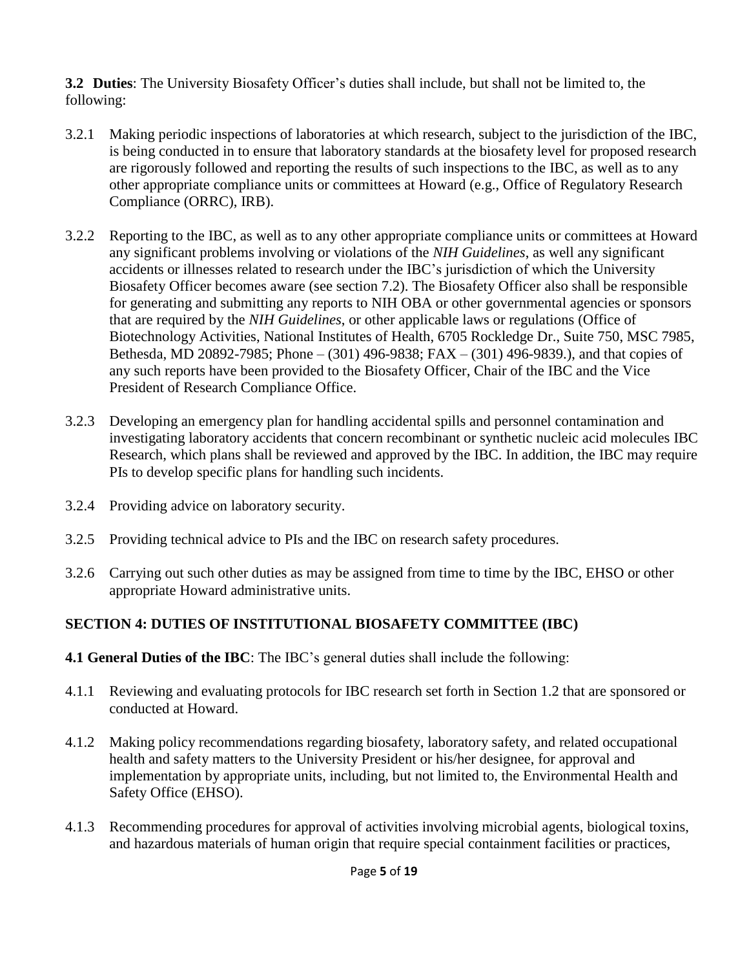**3.2 Duties**: The University Biosafety Officer's duties shall include, but shall not be limited to, the following:

- 3.2.1 Making periodic inspections of laboratories at which research, subject to the jurisdiction of the IBC, is being conducted in to ensure that laboratory standards at the biosafety level for proposed research are rigorously followed and reporting the results of such inspections to the IBC, as well as to any other appropriate compliance units or committees at Howard (e.g., Office of Regulatory Research Compliance (ORRC), IRB).
- 3.2.2 Reporting to the IBC, as well as to any other appropriate compliance units or committees at Howard any significant problems involving or violations of the *NIH Guidelines*, as well any significant accidents or illnesses related to research under the IBC's jurisdiction of which the University Biosafety Officer becomes aware (see section 7.2). The Biosafety Officer also shall be responsible for generating and submitting any reports to NIH OBA or other governmental agencies or sponsors that are required by the *NIH Guidelines*, or other applicable laws or regulations (Office of Biotechnology Activities, National Institutes of Health, 6705 Rockledge Dr., Suite 750, MSC 7985, Bethesda, MD 20892-7985; Phone – (301) 496-9838; FAX – (301) 496-9839.), and that copies of any such reports have been provided to the Biosafety Officer, Chair of the IBC and the Vice President of Research Compliance Office.
- 3.2.3 Developing an emergency plan for handling accidental spills and personnel contamination and investigating laboratory accidents that concern recombinant or synthetic nucleic acid molecules IBC Research, which plans shall be reviewed and approved by the IBC. In addition, the IBC may require PIs to develop specific plans for handling such incidents.
- 3.2.4 Providing advice on laboratory security.
- 3.2.5 Providing technical advice to PIs and the IBC on research safety procedures.
- 3.2.6 Carrying out such other duties as may be assigned from time to time by the IBC, EHSO or other appropriate Howard administrative units.

#### **SECTION 4: DUTIES OF INSTITUTIONAL BIOSAFETY COMMITTEE (IBC)**

- **4.1 General Duties of the IBC**: The IBC's general duties shall include the following:
- 4.1.1 Reviewing and evaluating protocols for IBC research set forth in Section 1.2 that are sponsored or conducted at Howard.
- 4.1.2 Making policy recommendations regarding biosafety, laboratory safety, and related occupational health and safety matters to the University President or his/her designee, for approval and implementation by appropriate units, including, but not limited to, the Environmental Health and Safety Office (EHSO).
- 4.1.3 Recommending procedures for approval of activities involving microbial agents, biological toxins, and hazardous materials of human origin that require special containment facilities or practices,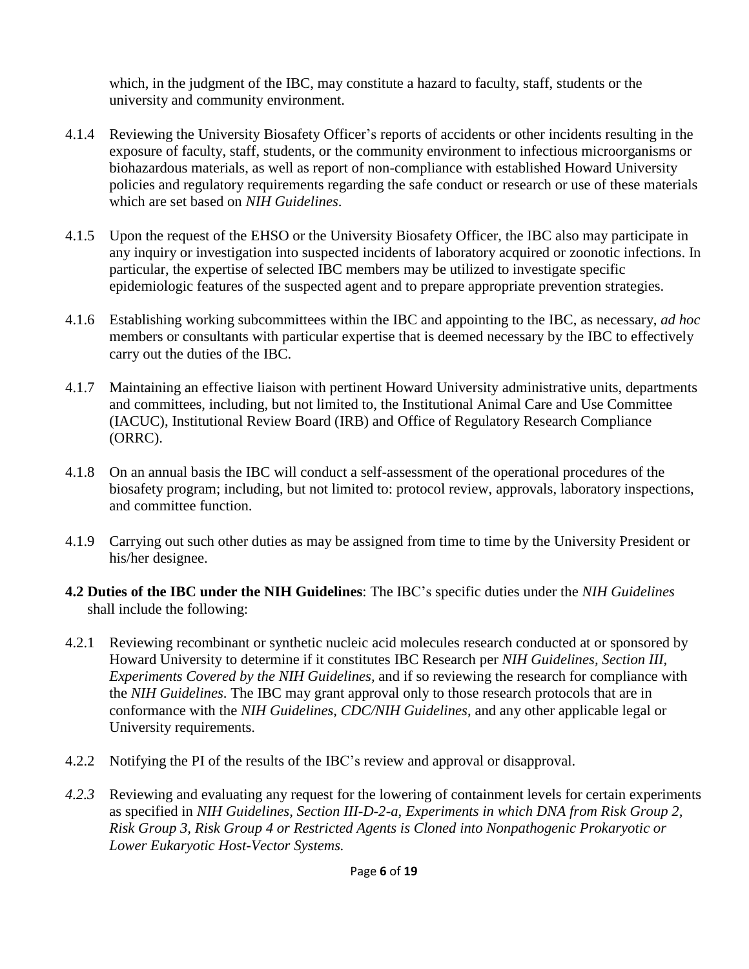which, in the judgment of the IBC, may constitute a hazard to faculty, staff, students or the university and community environment.

- 4.1.4 Reviewing the University Biosafety Officer's reports of accidents or other incidents resulting in the exposure of faculty, staff, students, or the community environment to infectious microorganisms or biohazardous materials, as well as report of non-compliance with established Howard University policies and regulatory requirements regarding the safe conduct or research or use of these materials which are set based on *NIH Guidelines*.
- 4.1.5 Upon the request of the EHSO or the University Biosafety Officer, the IBC also may participate in any inquiry or investigation into suspected incidents of laboratory acquired or zoonotic infections. In particular, the expertise of selected IBC members may be utilized to investigate specific epidemiologic features of the suspected agent and to prepare appropriate prevention strategies.
- 4.1.6 Establishing working subcommittees within the IBC and appointing to the IBC, as necessary, *ad hoc* members or consultants with particular expertise that is deemed necessary by the IBC to effectively carry out the duties of the IBC.
- 4.1.7 Maintaining an effective liaison with pertinent Howard University administrative units, departments and committees, including, but not limited to, the Institutional Animal Care and Use Committee (IACUC), Institutional Review Board (IRB) and Office of Regulatory Research Compliance (ORRC).
- 4.1.8 On an annual basis the IBC will conduct a self-assessment of the operational procedures of the biosafety program; including, but not limited to: protocol review, approvals, laboratory inspections, and committee function.
- 4.1.9 Carrying out such other duties as may be assigned from time to time by the University President or his/her designee.
- **4.2 Duties of the IBC under the NIH Guidelines**: The IBC's specific duties under the *NIH Guidelines* shall include the following:
- 4.2.1 Reviewing recombinant or synthetic nucleic acid molecules research conducted at or sponsored by Howard University to determine if it constitutes IBC Research per *NIH Guidelines, Section III, Experiments Covered by the NIH Guidelines,* and if so reviewing the research for compliance with the *NIH Guidelines*. The IBC may grant approval only to those research protocols that are in conformance with the *NIH Guidelines*, *CDC/NIH Guidelines*, and any other applicable legal or University requirements.
- 4.2.2 Notifying the PI of the results of the IBC's review and approval or disapproval.
- *4.2.3* Reviewing and evaluating any request for the lowering of containment levels for certain experiments as specified in *NIH Guidelines, Section III-D-2-a, Experiments in which DNA from Risk Group 2, Risk Group 3, Risk Group 4 or Restricted Agents is Cloned into Nonpathogenic Prokaryotic or Lower Eukaryotic Host-Vector Systems.*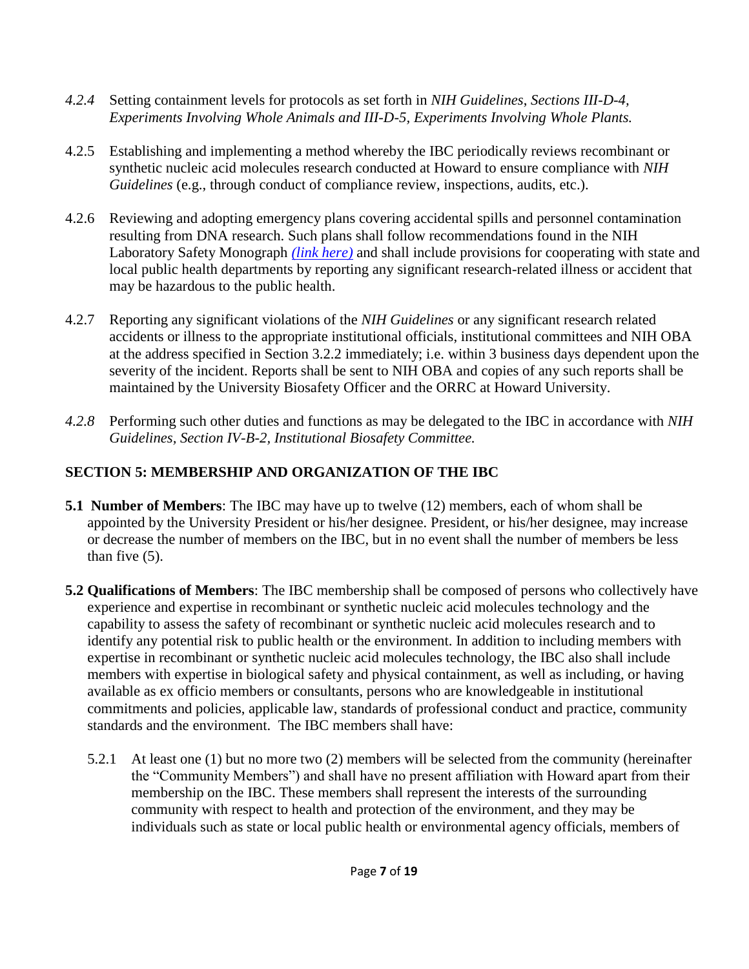- *4.2.4* Setting containment levels for protocols as set forth in *NIH Guidelines*, *Sections III-D-4, Experiments Involving Whole Animals and III-D-5, Experiments Involving Whole Plants.*
- 4.2.5 Establishing and implementing a method whereby the IBC periodically reviews recombinant or synthetic nucleic acid molecules research conducted at Howard to ensure compliance with *NIH Guidelines* (e.g., through conduct of compliance review, inspections, audits, etc.).
- 4.2.6 Reviewing and adopting emergency plans covering accidental spills and personnel contamination resulting from DNA research. Such plans shall follow recommendations found in the NIH Laboratory Safety Monograph *[\(link here\)](http://vpresearch.louisiana.edu/sites/research/files/NIH-Lab_Safety_Monograph.pdf)* and shall include provisions for cooperating with state and local public health departments by reporting any significant research-related illness or accident that may be hazardous to the public health.
- 4.2.7 Reporting any significant violations of the *NIH Guidelines* or any significant research related accidents or illness to the appropriate institutional officials, institutional committees and NIH OBA at the address specified in Section 3.2.2 immediately; i.e. within 3 business days dependent upon the severity of the incident. Reports shall be sent to NIH OBA and copies of any such reports shall be maintained by the University Biosafety Officer and the ORRC at Howard University.
- *4.2.8* Performing such other duties and functions as may be delegated to the IBC in accordance with *NIH Guidelines, Section IV-B-2, Institutional Biosafety Committee.*

## **SECTION 5: MEMBERSHIP AND ORGANIZATION OF THE IBC**

- **5.1 Number of Members**: The IBC may have up to twelve (12) members, each of whom shall be appointed by the University President or his/her designee. President, or his/her designee, may increase or decrease the number of members on the IBC, but in no event shall the number of members be less than five (5).
- **5.2 Qualifications of Members**: The IBC membership shall be composed of persons who collectively have experience and expertise in recombinant or synthetic nucleic acid molecules technology and the capability to assess the safety of recombinant or synthetic nucleic acid molecules research and to identify any potential risk to public health or the environment. In addition to including members with expertise in recombinant or synthetic nucleic acid molecules technology, the IBC also shall include members with expertise in biological safety and physical containment, as well as including, or having available as ex officio members or consultants, persons who are knowledgeable in institutional commitments and policies, applicable law, standards of professional conduct and practice, community standards and the environment. The IBC members shall have:
	- 5.2.1 At least one (1) but no more two (2) members will be selected from the community (hereinafter the "Community Members") and shall have no present affiliation with Howard apart from their membership on the IBC. These members shall represent the interests of the surrounding community with respect to health and protection of the environment, and they may be individuals such as state or local public health or environmental agency officials, members of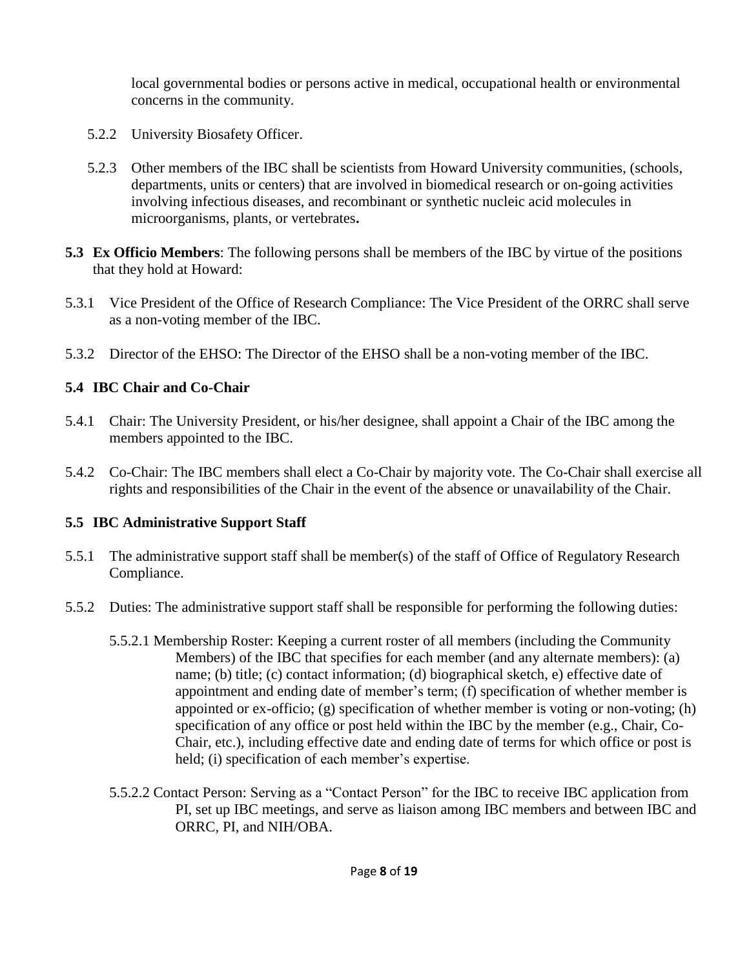local governmental bodies or persons active in medical, occupational health or environmental concerns in the community.

- 5.2.2 University Biosafety Officer.
- 5.2.3 Other members of the IBC shall be scientists from Howard University communities, (schools, departments, units or centers) that are involved in biomedical research or on-going activities involving infectious diseases, and recombinant or synthetic nucleic acid molecules in microorganisms, plants, or vertebrates**.**
- **5.3 Ex Officio Members**: The following persons shall be members of the IBC by virtue of the positions that they hold at Howard:
- 5.3.1 Vice President of the Office of Research Compliance: The Vice President of the ORRC shall serve as a non-voting member of the IBC.
- 5.3.2 Director of the EHSO: The Director of the EHSO shall be a non-voting member of the IBC.

#### **5.4 IBC Chair and Co-Chair**

- 5.4.1 Chair: The University President, or his/her designee, shall appoint a Chair of the IBC among the members appointed to the IBC.
- 5.4.2 Co-Chair: The IBC members shall elect a Co-Chair by majority vote. The Co-Chair shall exercise all rights and responsibilities of the Chair in the event of the absence or unavailability of the Chair.

#### **5.5 IBC Administrative Support Staff**

- 5.5.1 The administrative support staff shall be member(s) of the staff of Office of Regulatory Research Compliance.
- 5.5.2 Duties: The administrative support staff shall be responsible for performing the following duties:
	- 5.5.2.1 Membership Roster: Keeping a current roster of all members (including the Community Members) of the IBC that specifies for each member (and any alternate members): (a) name; (b) title; (c) contact information; (d) biographical sketch, e) effective date of appointment and ending date of member's term; (f) specification of whether member is appointed or ex-officio; (g) specification of whether member is voting or non-voting; (h) specification of any office or post held within the IBC by the member (e.g., Chair, Co-Chair, etc.), including effective date and ending date of terms for which office or post is held; (i) specification of each member's expertise.
	- 5.5.2.2 Contact Person: Serving as a "Contact Person" for the IBC to receive IBC application from PI, set up IBC meetings, and serve as liaison among IBC members and between IBC and ORRC, PI, and NIH/OBA.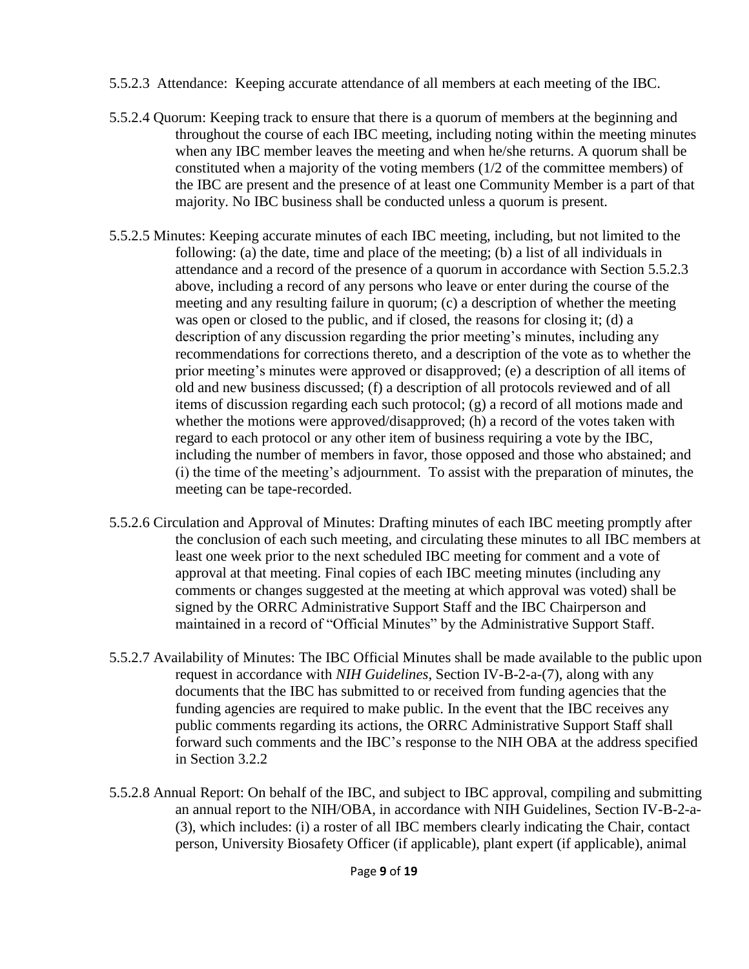- 5.5.2.3 Attendance: Keeping accurate attendance of all members at each meeting of the IBC.
- 5.5.2.4 Quorum: Keeping track to ensure that there is a quorum of members at the beginning and throughout the course of each IBC meeting, including noting within the meeting minutes when any IBC member leaves the meeting and when he/she returns. A quorum shall be constituted when a majority of the voting members (1/2 of the committee members) of the IBC are present and the presence of at least one Community Member is a part of that majority. No IBC business shall be conducted unless a quorum is present.
- 5.5.2.5 Minutes: Keeping accurate minutes of each IBC meeting, including, but not limited to the following: (a) the date, time and place of the meeting; (b) a list of all individuals in attendance and a record of the presence of a quorum in accordance with Section 5.5.2.3 above, including a record of any persons who leave or enter during the course of the meeting and any resulting failure in quorum; (c) a description of whether the meeting was open or closed to the public, and if closed, the reasons for closing it; (d) a description of any discussion regarding the prior meeting's minutes, including any recommendations for corrections thereto, and a description of the vote as to whether the prior meeting's minutes were approved or disapproved; (e) a description of all items of old and new business discussed; (f) a description of all protocols reviewed and of all items of discussion regarding each such protocol; (g) a record of all motions made and whether the motions were approved/disapproved; (h) a record of the votes taken with regard to each protocol or any other item of business requiring a vote by the IBC, including the number of members in favor, those opposed and those who abstained; and (i) the time of the meeting's adjournment. To assist with the preparation of minutes, the meeting can be tape-recorded.
- 5.5.2.6 Circulation and Approval of Minutes: Drafting minutes of each IBC meeting promptly after the conclusion of each such meeting, and circulating these minutes to all IBC members at least one week prior to the next scheduled IBC meeting for comment and a vote of approval at that meeting. Final copies of each IBC meeting minutes (including any comments or changes suggested at the meeting at which approval was voted) shall be signed by the ORRC Administrative Support Staff and the IBC Chairperson and maintained in a record of "Official Minutes" by the Administrative Support Staff.
- 5.5.2.7 Availability of Minutes: The IBC Official Minutes shall be made available to the public upon request in accordance with *NIH Guidelines*, Section IV-B-2-a-(7), along with any documents that the IBC has submitted to or received from funding agencies that the funding agencies are required to make public. In the event that the IBC receives any public comments regarding its actions, the ORRC Administrative Support Staff shall forward such comments and the IBC's response to the NIH OBA at the address specified in Section 3.2.2
- 5.5.2.8 Annual Report: On behalf of the IBC, and subject to IBC approval, compiling and submitting an annual report to the NIH/OBA, in accordance with NIH Guidelines, Section IV-B-2-a- (3), which includes: (i) a roster of all IBC members clearly indicating the Chair, contact person, University Biosafety Officer (if applicable), plant expert (if applicable), animal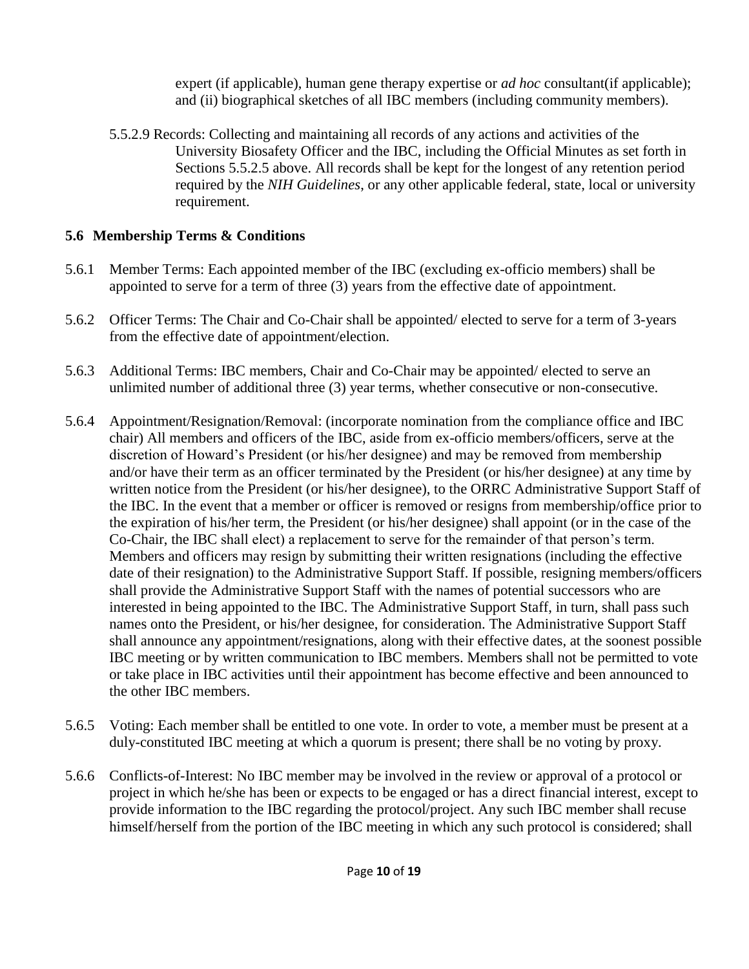expert (if applicable), human gene therapy expertise or *ad hoc* consultant(if applicable); and (ii) biographical sketches of all IBC members (including community members).

5.5.2.9 Records: Collecting and maintaining all records of any actions and activities of the University Biosafety Officer and the IBC, including the Official Minutes as set forth in Sections 5.5.2.5 above. All records shall be kept for the longest of any retention period required by the *NIH Guidelines*, or any other applicable federal, state, local or university requirement.

#### **5.6 Membership Terms & Conditions**

- 5.6.1 Member Terms: Each appointed member of the IBC (excluding ex-officio members) shall be appointed to serve for a term of three (3) years from the effective date of appointment.
- 5.6.2 Officer Terms: The Chair and Co-Chair shall be appointed/ elected to serve for a term of 3-years from the effective date of appointment/election.
- 5.6.3 Additional Terms: IBC members, Chair and Co-Chair may be appointed/ elected to serve an unlimited number of additional three (3) year terms, whether consecutive or non-consecutive.
- 5.6.4 Appointment/Resignation/Removal: (incorporate nomination from the compliance office and IBC chair) All members and officers of the IBC, aside from ex-officio members/officers, serve at the discretion of Howard's President (or his/her designee) and may be removed from membership and/or have their term as an officer terminated by the President (or his/her designee) at any time by written notice from the President (or his/her designee), to the ORRC Administrative Support Staff of the IBC. In the event that a member or officer is removed or resigns from membership/office prior to the expiration of his/her term, the President (or his/her designee) shall appoint (or in the case of the Co-Chair, the IBC shall elect) a replacement to serve for the remainder of that person's term. Members and officers may resign by submitting their written resignations (including the effective date of their resignation) to the Administrative Support Staff. If possible, resigning members/officers shall provide the Administrative Support Staff with the names of potential successors who are interested in being appointed to the IBC. The Administrative Support Staff, in turn, shall pass such names onto the President, or his/her designee, for consideration. The Administrative Support Staff shall announce any appointment/resignations, along with their effective dates, at the soonest possible IBC meeting or by written communication to IBC members. Members shall not be permitted to vote or take place in IBC activities until their appointment has become effective and been announced to the other IBC members.
- 5.6.5 Voting: Each member shall be entitled to one vote. In order to vote, a member must be present at a duly-constituted IBC meeting at which a quorum is present; there shall be no voting by proxy.
- 5.6.6 Conflicts-of-Interest: No IBC member may be involved in the review or approval of a protocol or project in which he/she has been or expects to be engaged or has a direct financial interest, except to provide information to the IBC regarding the protocol/project. Any such IBC member shall recuse himself/herself from the portion of the IBC meeting in which any such protocol is considered; shall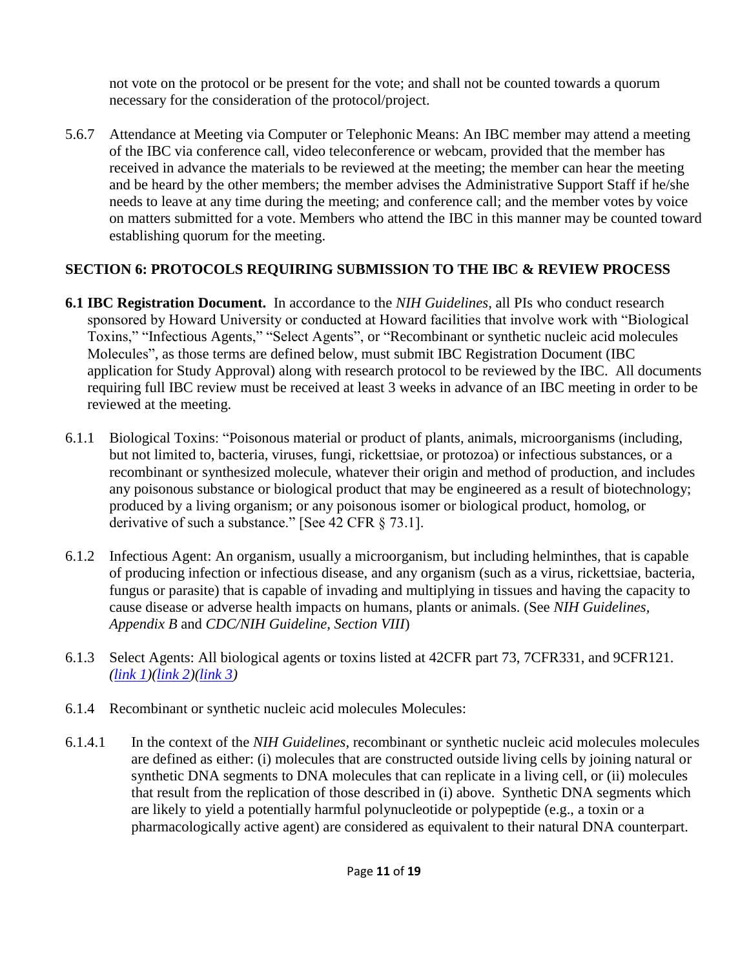not vote on the protocol or be present for the vote; and shall not be counted towards a quorum necessary for the consideration of the protocol/project.

5.6.7 Attendance at Meeting via Computer or Telephonic Means: An IBC member may attend a meeting of the IBC via conference call, video teleconference or webcam, provided that the member has received in advance the materials to be reviewed at the meeting; the member can hear the meeting and be heard by the other members; the member advises the Administrative Support Staff if he/she needs to leave at any time during the meeting; and conference call; and the member votes by voice on matters submitted for a vote. Members who attend the IBC in this manner may be counted toward establishing quorum for the meeting.

#### **SECTION 6: PROTOCOLS REQUIRING SUBMISSION TO THE IBC & REVIEW PROCESS**

- **6.1 IBC Registration Document.** In accordance to the *NIH Guidelines*, all PIs who conduct research sponsored by Howard University or conducted at Howard facilities that involve work with "Biological Toxins," "Infectious Agents," "Select Agents", or "Recombinant or synthetic nucleic acid molecules Molecules", as those terms are defined below, must submit IBC Registration Document (IBC application for Study Approval) along with research protocol to be reviewed by the IBC. All documents requiring full IBC review must be received at least 3 weeks in advance of an IBC meeting in order to be reviewed at the meeting.
- 6.1.1 Biological Toxins: "Poisonous material or product of plants, animals, microorganisms (including, but not limited to, bacteria, viruses, fungi, rickettsiae, or protozoa) or infectious substances, or a recombinant or synthesized molecule, whatever their origin and method of production, and includes any poisonous substance or biological product that may be engineered as a result of biotechnology; produced by a living organism; or any poisonous isomer or biological product, homolog, or derivative of such a substance." [See 42 CFR § 73.1].
- 6.1.2 Infectious Agent: An organism, usually a microorganism, but including helminthes, that is capable of producing infection or infectious disease, and any organism (such as a virus, rickettsiae, bacteria, fungus or parasite) that is capable of invading and multiplying in tissues and having the capacity to cause disease or adverse health impacts on humans, plants or animals. (See *NIH Guidelines, Appendix B* and *CDC/NIH Guideline, Section VIII*)
- 6.1.3 Select Agents: All biological agents or toxins listed at 42CFR part 73, 7CFR331, and 9CFR121. *[\(link 1\)](http://www.selectagents.gov/resources/42%20CFR%2073.pdf)[\(link 2\)](http://www.selectagents.gov/resources/7_CFR_331_-_UPDATED-English.pdf)[\(link 3\)](http://www.ecfr.gov/cgi-bin/retrieveECFR?gp=1&SID=b9126e9fba23e3e7933354a1d2630d72&ty=HTML&h=L&n=9y1.0.1.5.58&r=PART)*
- 6.1.4 Recombinant or synthetic nucleic acid molecules Molecules:
- 6.1.4.1 In the context of the *NIH Guidelines*, recombinant or synthetic nucleic acid molecules molecules are defined as either: (i) molecules that are constructed outside living cells by joining natural or synthetic DNA segments to DNA molecules that can replicate in a living cell, or (ii) molecules that result from the replication of those described in (i) above. Synthetic DNA segments which are likely to yield a potentially harmful polynucleotide or polypeptide (e.g., a toxin or a pharmacologically active agent) are considered as equivalent to their natural DNA counterpart.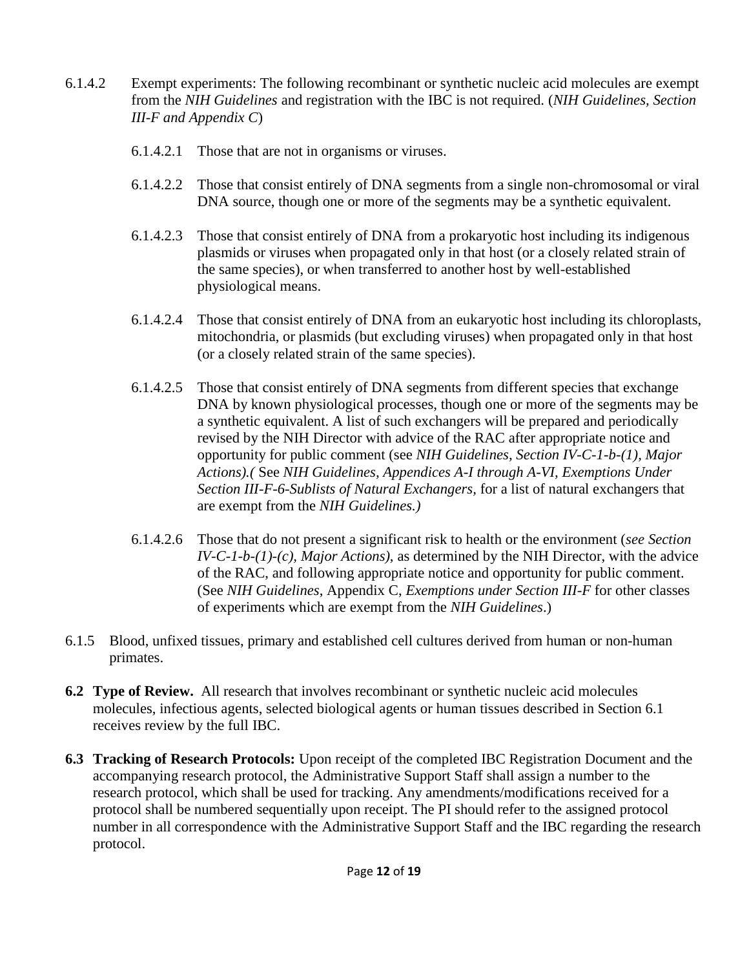- 6.1.4.2 Exempt experiments: The following recombinant or synthetic nucleic acid molecules are exempt from the *NIH Guidelines* and registration with the IBC is not required. (*NIH Guidelines, Section III-F and Appendix C*)
	- 6.1.4.2.1 Those that are not in organisms or viruses.
	- 6.1.4.2.2 Those that consist entirely of DNA segments from a single non-chromosomal or viral DNA source, though one or more of the segments may be a synthetic equivalent.
	- 6.1.4.2.3 Those that consist entirely of DNA from a prokaryotic host including its indigenous plasmids or viruses when propagated only in that host (or a closely related strain of the same species), or when transferred to another host by well-established physiological means.
	- 6.1.4.2.4 Those that consist entirely of DNA from an eukaryotic host including its chloroplasts, mitochondria, or plasmids (but excluding viruses) when propagated only in that host (or a closely related strain of the same species).
	- 6.1.4.2.5 Those that consist entirely of DNA segments from different species that exchange DNA by known physiological processes, though one or more of the segments may be a synthetic equivalent. A list of such exchangers will be prepared and periodically revised by the NIH Director with advice of the RAC after appropriate notice and opportunity for public comment (see *NIH Guidelines, Section IV-C-1-b-(1), Major Actions).(* See *NIH Guidelines, Appendices A-I through A-VI, Exemptions Under Section III-F-6-Sublists of Natural Exchangers,* for a list of natural exchangers that are exempt from the *NIH Guidelines.)*
	- 6.1.4.2.6 Those that do not present a significant risk to health or the environment (*see Section IV-C-1-b-(1)-(c), Major Actions)*, as determined by the NIH Director, with the advice of the RAC, and following appropriate notice and opportunity for public comment. (See *NIH Guidelines*, Appendix C, *Exemptions under Section III-F* for other classes of experiments which are exempt from the *NIH Guidelines*.)
- 6.1.5 Blood, unfixed tissues, primary and established cell cultures derived from human or non-human primates.
- **6.2 Type of Review.** All research that involves recombinant or synthetic nucleic acid molecules molecules, infectious agents, selected biological agents or human tissues described in Section 6.1 receives review by the full IBC.
- **6.3 Tracking of Research Protocols:** Upon receipt of the completed IBC Registration Document and the accompanying research protocol, the Administrative Support Staff shall assign a number to the research protocol, which shall be used for tracking. Any amendments/modifications received for a protocol shall be numbered sequentially upon receipt. The PI should refer to the assigned protocol number in all correspondence with the Administrative Support Staff and the IBC regarding the research protocol.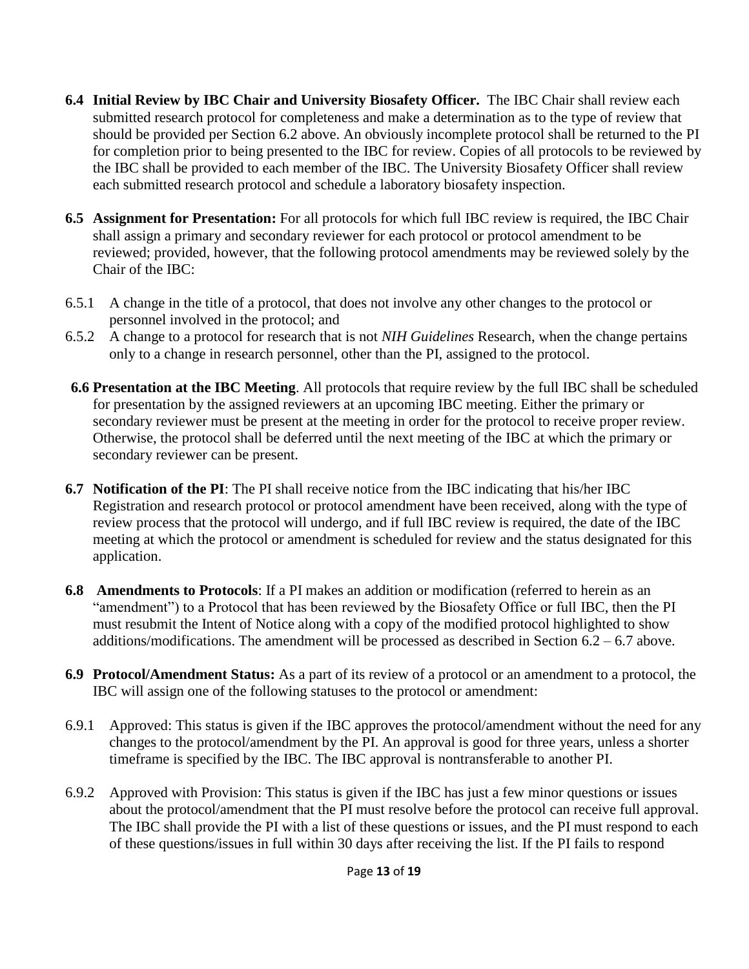- **6.4 Initial Review by IBC Chair and University Biosafety Officer.** The IBC Chair shall review each submitted research protocol for completeness and make a determination as to the type of review that should be provided per Section 6.2 above. An obviously incomplete protocol shall be returned to the PI for completion prior to being presented to the IBC for review. Copies of all protocols to be reviewed by the IBC shall be provided to each member of the IBC. The University Biosafety Officer shall review each submitted research protocol and schedule a laboratory biosafety inspection.
- **6.5 Assignment for Presentation:** For all protocols for which full IBC review is required, the IBC Chair shall assign a primary and secondary reviewer for each protocol or protocol amendment to be reviewed; provided, however, that the following protocol amendments may be reviewed solely by the Chair of the IBC:
- 6.5.1 A change in the title of a protocol, that does not involve any other changes to the protocol or personnel involved in the protocol; and
- 6.5.2 A change to a protocol for research that is not *NIH Guidelines* Research, when the change pertains only to a change in research personnel, other than the PI, assigned to the protocol.
- **6.6 Presentation at the IBC Meeting**. All protocols that require review by the full IBC shall be scheduled for presentation by the assigned reviewers at an upcoming IBC meeting. Either the primary or secondary reviewer must be present at the meeting in order for the protocol to receive proper review. Otherwise, the protocol shall be deferred until the next meeting of the IBC at which the primary or secondary reviewer can be present.
- **6.7 Notification of the PI**: The PI shall receive notice from the IBC indicating that his/her IBC Registration and research protocol or protocol amendment have been received, along with the type of review process that the protocol will undergo, and if full IBC review is required, the date of the IBC meeting at which the protocol or amendment is scheduled for review and the status designated for this application.
- **6.8 Amendments to Protocols**: If a PI makes an addition or modification (referred to herein as an "amendment") to a Protocol that has been reviewed by the Biosafety Office or full IBC, then the PI must resubmit the Intent of Notice along with a copy of the modified protocol highlighted to show additions/modifications. The amendment will be processed as described in Section  $6.2 - 6.7$  above.
- **6.9 Protocol/Amendment Status:** As a part of its review of a protocol or an amendment to a protocol, the IBC will assign one of the following statuses to the protocol or amendment:
- 6.9.1 Approved: This status is given if the IBC approves the protocol/amendment without the need for any changes to the protocol/amendment by the PI. An approval is good for three years, unless a shorter timeframe is specified by the IBC. The IBC approval is nontransferable to another PI.
- 6.9.2 Approved with Provision: This status is given if the IBC has just a few minor questions or issues about the protocol/amendment that the PI must resolve before the protocol can receive full approval. The IBC shall provide the PI with a list of these questions or issues, and the PI must respond to each of these questions/issues in full within 30 days after receiving the list. If the PI fails to respond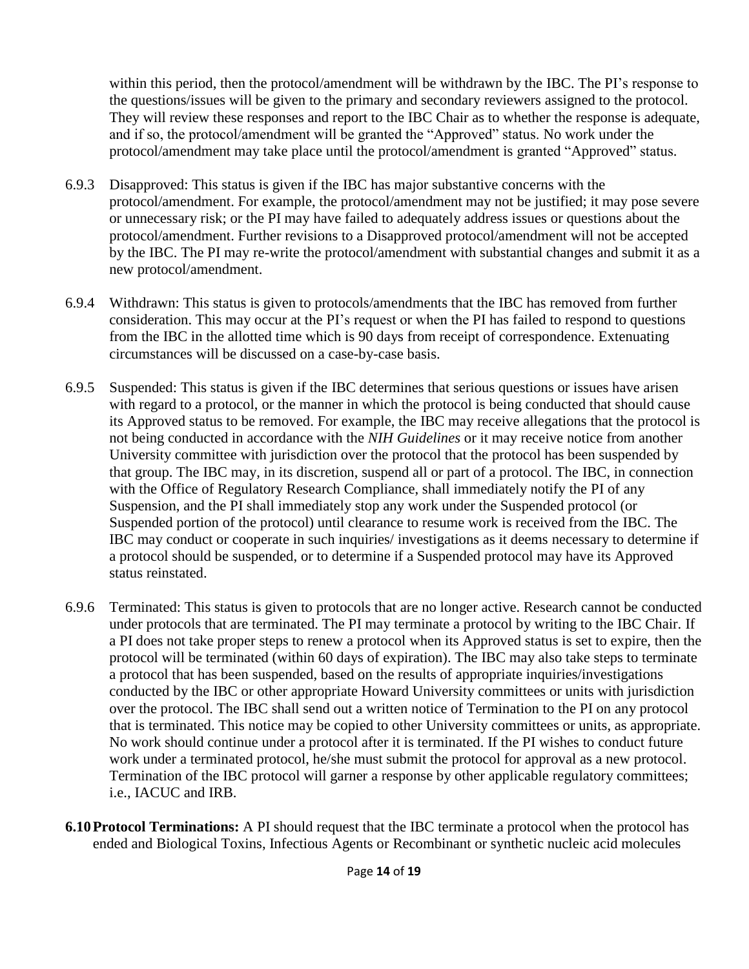within this period, then the protocol/amendment will be withdrawn by the IBC. The PI's response to the questions/issues will be given to the primary and secondary reviewers assigned to the protocol. They will review these responses and report to the IBC Chair as to whether the response is adequate, and if so, the protocol/amendment will be granted the "Approved" status. No work under the protocol/amendment may take place until the protocol/amendment is granted "Approved" status.

- 6.9.3 Disapproved: This status is given if the IBC has major substantive concerns with the protocol/amendment. For example, the protocol/amendment may not be justified; it may pose severe or unnecessary risk; or the PI may have failed to adequately address issues or questions about the protocol/amendment. Further revisions to a Disapproved protocol/amendment will not be accepted by the IBC. The PI may re-write the protocol/amendment with substantial changes and submit it as a new protocol/amendment.
- 6.9.4 Withdrawn: This status is given to protocols/amendments that the IBC has removed from further consideration. This may occur at the PI's request or when the PI has failed to respond to questions from the IBC in the allotted time which is 90 days from receipt of correspondence. Extenuating circumstances will be discussed on a case-by-case basis.
- 6.9.5 Suspended: This status is given if the IBC determines that serious questions or issues have arisen with regard to a protocol, or the manner in which the protocol is being conducted that should cause its Approved status to be removed. For example, the IBC may receive allegations that the protocol is not being conducted in accordance with the *NIH Guidelines* or it may receive notice from another University committee with jurisdiction over the protocol that the protocol has been suspended by that group. The IBC may, in its discretion, suspend all or part of a protocol. The IBC, in connection with the Office of Regulatory Research Compliance, shall immediately notify the PI of any Suspension, and the PI shall immediately stop any work under the Suspended protocol (or Suspended portion of the protocol) until clearance to resume work is received from the IBC. The IBC may conduct or cooperate in such inquiries/ investigations as it deems necessary to determine if a protocol should be suspended, or to determine if a Suspended protocol may have its Approved status reinstated.
- 6.9.6 Terminated: This status is given to protocols that are no longer active. Research cannot be conducted under protocols that are terminated. The PI may terminate a protocol by writing to the IBC Chair. If a PI does not take proper steps to renew a protocol when its Approved status is set to expire, then the protocol will be terminated (within 60 days of expiration). The IBC may also take steps to terminate a protocol that has been suspended, based on the results of appropriate inquiries/investigations conducted by the IBC or other appropriate Howard University committees or units with jurisdiction over the protocol. The IBC shall send out a written notice of Termination to the PI on any protocol that is terminated. This notice may be copied to other University committees or units, as appropriate. No work should continue under a protocol after it is terminated. If the PI wishes to conduct future work under a terminated protocol, he/she must submit the protocol for approval as a new protocol. Termination of the IBC protocol will garner a response by other applicable regulatory committees; i.e., IACUC and IRB.
- **6.10Protocol Terminations:** A PI should request that the IBC terminate a protocol when the protocol has ended and Biological Toxins, Infectious Agents or Recombinant or synthetic nucleic acid molecules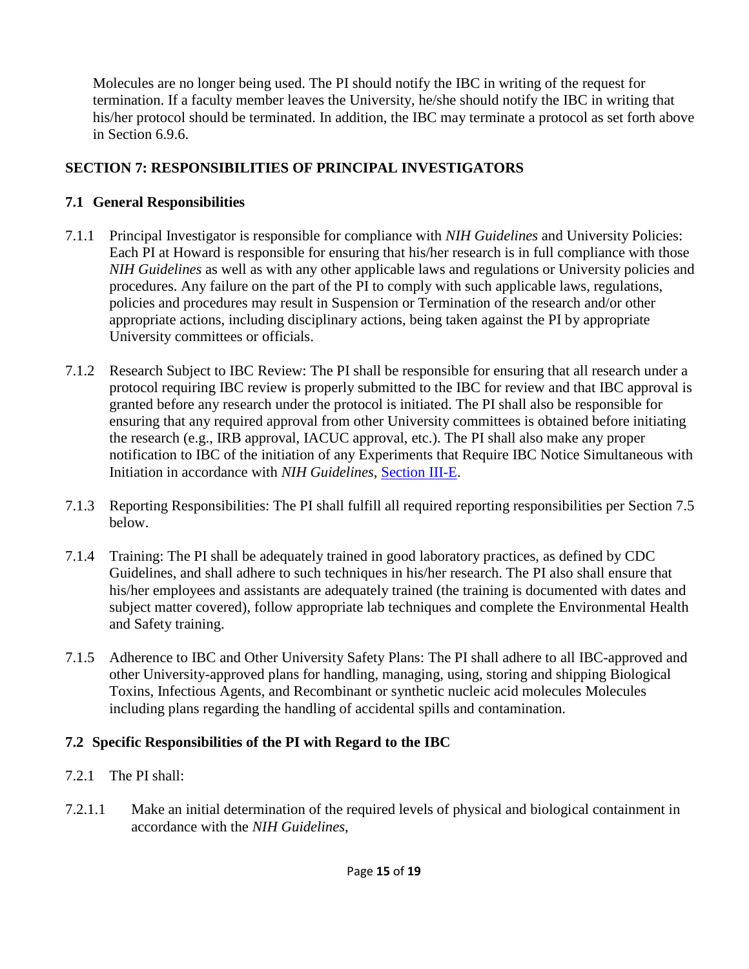Molecules are no longer being used. The PI should notify the IBC in writing of the request for termination. If a faculty member leaves the University, he/she should notify the IBC in writing that his/her protocol should be terminated. In addition, the IBC may terminate a protocol as set forth above in Section 6.9.6.

### **SECTION 7: RESPONSIBILITIES OF PRINCIPAL INVESTIGATORS**

### **7.1 General Responsibilities**

- 7.1.1 Principal Investigator is responsible for compliance with *NIH Guidelines* and University Policies: Each PI at Howard is responsible for ensuring that his/her research is in full compliance with those *NIH Guidelines* as well as with any other applicable laws and regulations or University policies and procedures. Any failure on the part of the PI to comply with such applicable laws, regulations, policies and procedures may result in Suspension or Termination of the research and/or other appropriate actions, including disciplinary actions, being taken against the PI by appropriate University committees or officials.
- 7.1.2 Research Subject to IBC Review: The PI shall be responsible for ensuring that all research under a protocol requiring IBC review is properly submitted to the IBC for review and that IBC approval is granted before any research under the protocol is initiated. The PI shall also be responsible for ensuring that any required approval from other University committees is obtained before initiating the research (e.g., IRB approval, IACUC approval, etc.). The PI shall also make any proper notification to IBC of the initiation of any Experiments that Require IBC Notice Simultaneous with Initiation in accordance with *NIH Guidelines*, [Section III-E.](http://oba.od.nih.gov/rdna/nih_guidelines_new.htm#_Toc331174004)
- 7.1.3 Reporting Responsibilities: The PI shall fulfill all required reporting responsibilities per Section 7.5 below.
- 7.1.4 Training: The PI shall be adequately trained in good laboratory practices, as defined by CDC Guidelines, and shall adhere to such techniques in his/her research. The PI also shall ensure that his/her employees and assistants are adequately trained (the training is documented with dates and subject matter covered), follow appropriate lab techniques and complete the Environmental Health and Safety training.
- 7.1.5 Adherence to IBC and Other University Safety Plans: The PI shall adhere to all IBC-approved and other University-approved plans for handling, managing, using, storing and shipping Biological Toxins, Infectious Agents, and Recombinant or synthetic nucleic acid molecules Molecules including plans regarding the handling of accidental spills and contamination.

## **7.2 Specific Responsibilities of the PI with Regard to the IBC**

- 7.2.1 The PI shall:
- 7.2.1.1 Make an initial determination of the required levels of physical and biological containment in accordance with the *NIH Guidelines*,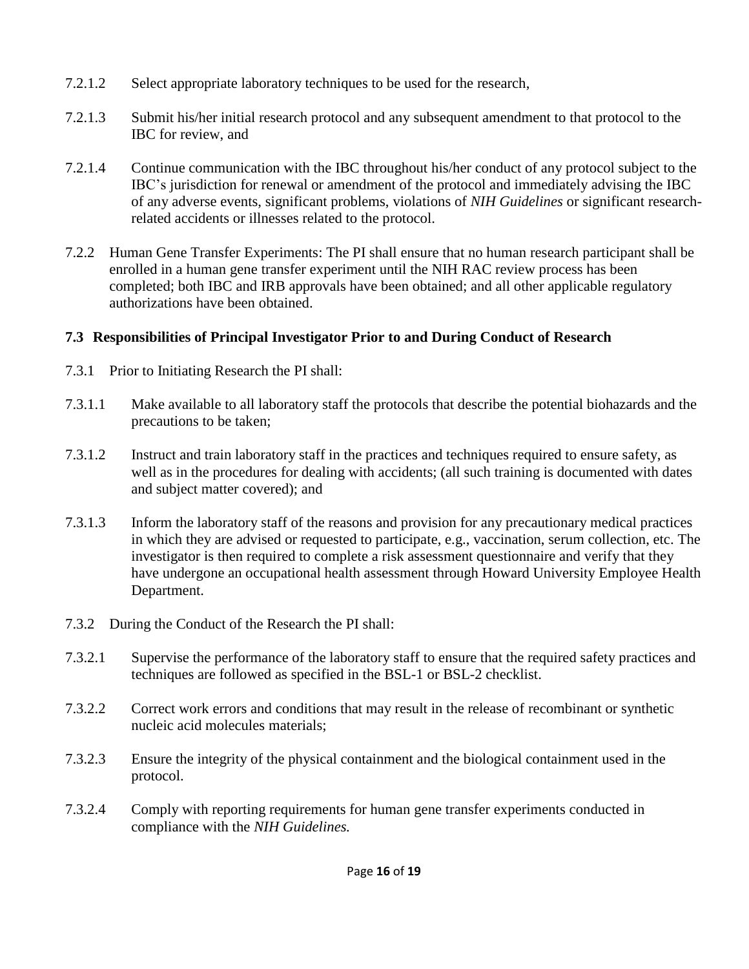- 7.2.1.2 Select appropriate laboratory techniques to be used for the research,
- 7.2.1.3 Submit his/her initial research protocol and any subsequent amendment to that protocol to the IBC for review, and
- 7.2.1.4 Continue communication with the IBC throughout his/her conduct of any protocol subject to the IBC's jurisdiction for renewal or amendment of the protocol and immediately advising the IBC of any adverse events, significant problems, violations of *NIH Guidelines* or significant researchrelated accidents or illnesses related to the protocol.
- 7.2.2 Human Gene Transfer Experiments: The PI shall ensure that no human research participant shall be enrolled in a human gene transfer experiment until the NIH RAC review process has been completed; both IBC and IRB approvals have been obtained; and all other applicable regulatory authorizations have been obtained.

## **7.3 Responsibilities of Principal Investigator Prior to and During Conduct of Research**

- 7.3.1 Prior to Initiating Research the PI shall:
- 7.3.1.1 Make available to all laboratory staff the protocols that describe the potential biohazards and the precautions to be taken;
- 7.3.1.2 Instruct and train laboratory staff in the practices and techniques required to ensure safety, as well as in the procedures for dealing with accidents; (all such training is documented with dates and subject matter covered); and
- 7.3.1.3 Inform the laboratory staff of the reasons and provision for any precautionary medical practices in which they are advised or requested to participate, e.g., vaccination, serum collection, etc. The investigator is then required to complete a risk assessment questionnaire and verify that they have undergone an occupational health assessment through Howard University Employee Health Department.
- 7.3.2 During the Conduct of the Research the PI shall:
- 7.3.2.1 Supervise the performance of the laboratory staff to ensure that the required safety practices and techniques are followed as specified in the BSL-1 or BSL-2 checklist.
- 7.3.2.2 Correct work errors and conditions that may result in the release of recombinant or synthetic nucleic acid molecules materials;
- 7.3.2.3 Ensure the integrity of the physical containment and the biological containment used in the protocol.
- 7.3.2.4 Comply with reporting requirements for human gene transfer experiments conducted in compliance with the *NIH Guidelines.*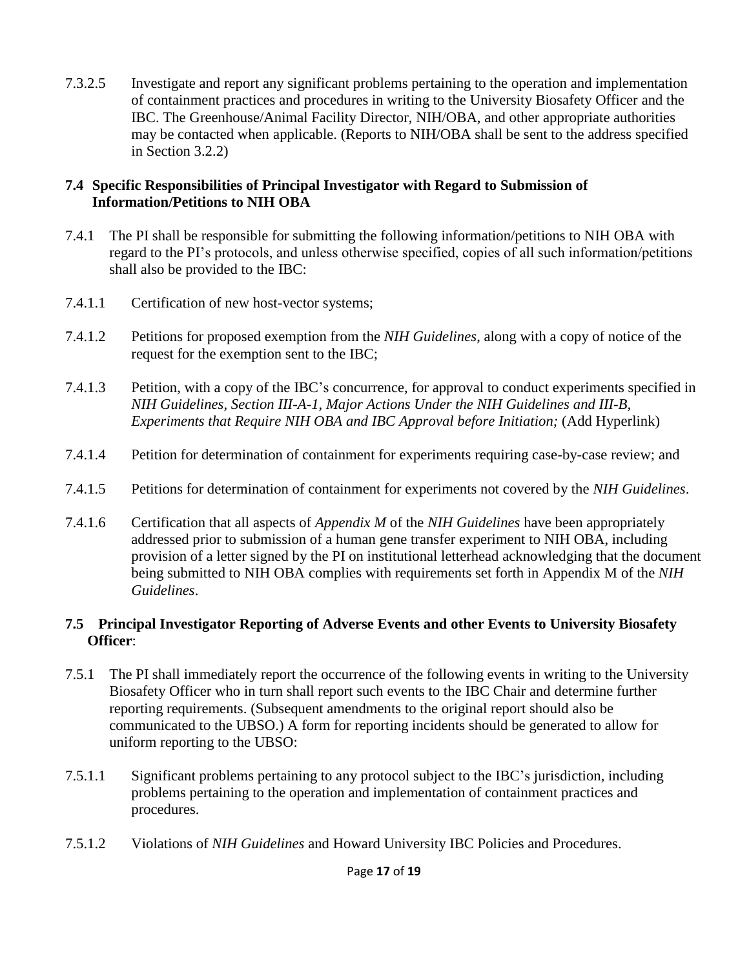7.3.2.5 Investigate and report any significant problems pertaining to the operation and implementation of containment practices and procedures in writing to the University Biosafety Officer and the IBC. The Greenhouse/Animal Facility Director, NIH/OBA, and other appropriate authorities may be contacted when applicable. (Reports to NIH/OBA shall be sent to the address specified in Section 3.2.2)

#### **7.4 Specific Responsibilities of Principal Investigator with Regard to Submission of Information/Petitions to NIH OBA**

- 7.4.1 The PI shall be responsible for submitting the following information/petitions to NIH OBA with regard to the PI's protocols, and unless otherwise specified, copies of all such information/petitions shall also be provided to the IBC:
- 7.4.1.1 Certification of new host-vector systems;
- 7.4.1.2 Petitions for proposed exemption from the *NIH Guidelines*, along with a copy of notice of the request for the exemption sent to the IBC;
- 7.4.1.3 Petition, with a copy of the IBC's concurrence, for approval to conduct experiments specified in *NIH Guidelines, Section III-A-1, Major Actions Under the NIH Guidelines and III-B, Experiments that Require NIH OBA and IBC Approval before Initiation;* (Add Hyperlink)
- 7.4.1.4 Petition for determination of containment for experiments requiring case-by-case review; and
- 7.4.1.5 Petitions for determination of containment for experiments not covered by the *NIH Guidelines*.
- 7.4.1.6 Certification that all aspects of *Appendix M* of the *NIH Guidelines* have been appropriately addressed prior to submission of a human gene transfer experiment to NIH OBA, including provision of a letter signed by the PI on institutional letterhead acknowledging that the document being submitted to NIH OBA complies with requirements set forth in Appendix M of the *NIH Guidelines*.

#### **7.5 Principal Investigator Reporting of Adverse Events and other Events to University Biosafety Officer**:

- 7.5.1 The PI shall immediately report the occurrence of the following events in writing to the University Biosafety Officer who in turn shall report such events to the IBC Chair and determine further reporting requirements. (Subsequent amendments to the original report should also be communicated to the UBSO.) A form for reporting incidents should be generated to allow for uniform reporting to the UBSO:
- 7.5.1.1 Significant problems pertaining to any protocol subject to the IBC's jurisdiction, including problems pertaining to the operation and implementation of containment practices and procedures.
- 7.5.1.2 Violations of *NIH Guidelines* and Howard University IBC Policies and Procedures.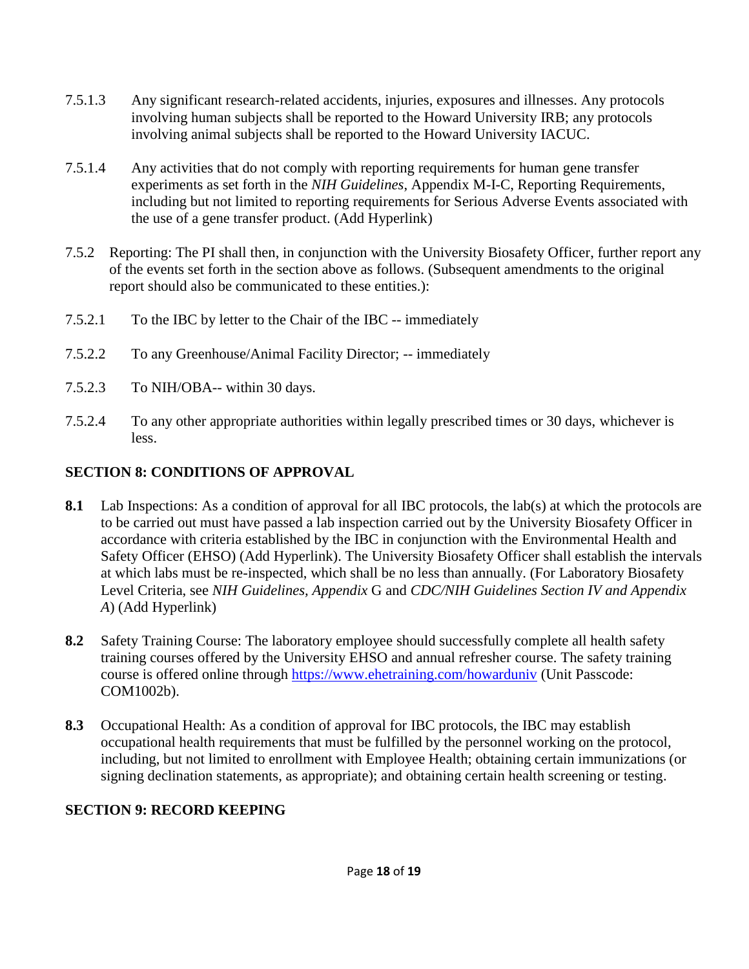- 7.5.1.3 Any significant research-related accidents, injuries, exposures and illnesses. Any protocols involving human subjects shall be reported to the Howard University IRB; any protocols involving animal subjects shall be reported to the Howard University IACUC.
- 7.5.1.4 Any activities that do not comply with reporting requirements for human gene transfer experiments as set forth in the *NIH Guidelines*, Appendix M-I-C, Reporting Requirements, including but not limited to reporting requirements for Serious Adverse Events associated with the use of a gene transfer product. (Add Hyperlink)
- 7.5.2 Reporting: The PI shall then, in conjunction with the University Biosafety Officer, further report any of the events set forth in the section above as follows. (Subsequent amendments to the original report should also be communicated to these entities.):
- 7.5.2.1 To the IBC by letter to the Chair of the IBC -- immediately
- 7.5.2.2 To any Greenhouse/Animal Facility Director; -- immediately
- 7.5.2.3 To NIH/OBA-- within 30 days.
- 7.5.2.4 To any other appropriate authorities within legally prescribed times or 30 days, whichever is less.

#### **SECTION 8: CONDITIONS OF APPROVAL**

- **8.1** Lab Inspections: As a condition of approval for all IBC protocols, the lab(s) at which the protocols are to be carried out must have passed a lab inspection carried out by the University Biosafety Officer in accordance with criteria established by the IBC in conjunction with the Environmental Health and Safety Officer (EHSO) (Add Hyperlink). The University Biosafety Officer shall establish the intervals at which labs must be re-inspected, which shall be no less than annually. (For Laboratory Biosafety Level Criteria, see *NIH Guidelines, Appendix* G and *CDC/NIH Guidelines Section IV and Appendix A*) (Add Hyperlink)
- **8.2** Safety Training Course: The laboratory employee should successfully complete all health safety training courses offered by the University EHSO and annual refresher course. The safety training course is offered online through<https://www.ehetraining.com/howarduniv> (Unit Passcode: COM1002b).
- **8.3** Occupational Health: As a condition of approval for IBC protocols, the IBC may establish occupational health requirements that must be fulfilled by the personnel working on the protocol, including, but not limited to enrollment with Employee Health; obtaining certain immunizations (or signing declination statements, as appropriate); and obtaining certain health screening or testing.

#### **SECTION 9: RECORD KEEPING**